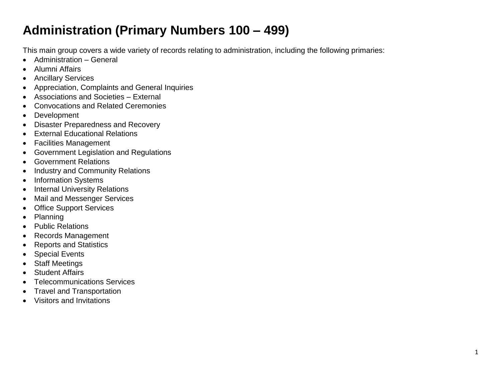## **Administration (Primary Numbers 100 – 499)**

This main group covers a wide variety of records relating to administration, including the following primaries:

- Administration General
- Alumni Affairs
- Ancillary Services
- Appreciation, Complaints and General Inquiries
- Associations and Societies External
- Convocations and Related Ceremonies
- Development
- Disaster Preparedness and Recovery
- External Educational Relations
- Facilities Management
- Government Legislation and Regulations
- Government Relations
- Industry and Community Relations
- Information Systems
- Internal University Relations
- Mail and Messenger Services
- Office Support Services
- Planning
- Public Relations
- Records Management
- Reports and Statistics
- Special Events
- Staff Meetings
- Student Affairs
- Telecommunications Services
- Travel and Transportation
- Visitors and Invitations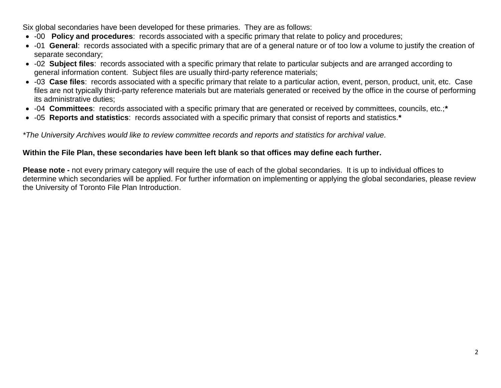Six global secondaries have been developed for these primaries. They are as follows:

- -00 **Policy and procedures**: records associated with a specific primary that relate to policy and procedures;
- -01 **General**: records associated with a specific primary that are of a general nature or of too low a volume to justify the creation of separate secondary;
- -02 **Subject files**: records associated with a specific primary that relate to particular subjects and are arranged according to general information content. Subject files are usually third-party reference materials;
- -03 **Case files**: records associated with a specific primary that relate to a particular action, event, person, product, unit, etc. Case files are not typically third-party reference materials but are materials generated or received by the office in the course of performing its administrative duties;
- -04 **Committees**: records associated with a specific primary that are generated or received by committees, councils, etc.;**\***
- -05 **Reports and statistics**: records associated with a specific primary that consist of reports and statistics.**\***

*\*The University Archives would like to review committee records and reports and statistics for archival value.*

## **Within the File Plan, these secondaries have been left blank so that offices may define each further.**

**Please note -** not every primary category will require the use of each of the global secondaries. It is up to individual offices to determine which secondaries will be applied. For further information on implementing or applying the global secondaries, please review the University of Toronto File Plan Introduction.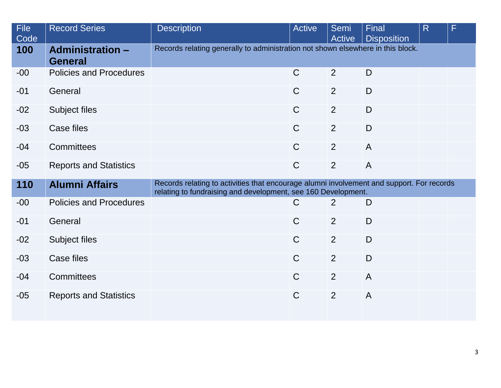| File<br>Code | <b>Record Series</b>                      | <b>Description</b>                                                                                                                                         | <b>Active</b> | Semi<br>Active | Final<br><b>Disposition</b> | R | F |
|--------------|-------------------------------------------|------------------------------------------------------------------------------------------------------------------------------------------------------------|---------------|----------------|-----------------------------|---|---|
| 100          | <b>Administration -</b><br><b>General</b> | Records relating generally to administration not shown elsewhere in this block.                                                                            |               |                |                             |   |   |
| $-00$        | <b>Policies and Procedures</b>            |                                                                                                                                                            | $\mathsf{C}$  | 2              | D                           |   |   |
| $-01$        | General                                   |                                                                                                                                                            | $\mathsf{C}$  | 2              | D                           |   |   |
| $-02$        | Subject files                             |                                                                                                                                                            | $\mathsf{C}$  | $\overline{2}$ | $\mathsf{D}$                |   |   |
| $-03$        | Case files                                |                                                                                                                                                            | $\mathsf C$   | 2              | $\mathsf{D}$                |   |   |
| $-04$        | Committees                                |                                                                                                                                                            | $\mathsf{C}$  | 2              | $\overline{A}$              |   |   |
| $-05$        | <b>Reports and Statistics</b>             |                                                                                                                                                            | $\mathsf C$   | $\overline{2}$ | $\overline{A}$              |   |   |
| 110          | <b>Alumni Affairs</b>                     | Records relating to activities that encourage alumni involvement and support. For records<br>relating to fundraising and development, see 160 Development. |               |                |                             |   |   |
| $-00$        | <b>Policies and Procedures</b>            |                                                                                                                                                            | $\mathsf{C}$  | 2              | D                           |   |   |
| $-01$        | General                                   |                                                                                                                                                            | $\mathsf{C}$  | 2              | $\mathsf{D}$                |   |   |
| $-02$        | Subject files                             |                                                                                                                                                            | $\mathsf C$   | $\overline{2}$ | $\mathsf{D}$                |   |   |
| $-03$        | Case files                                |                                                                                                                                                            | $\mathsf C$   | $\overline{2}$ | D                           |   |   |
| $-04$        | <b>Committees</b>                         |                                                                                                                                                            | $\mathsf C$   | 2              | $\overline{A}$              |   |   |
| $-05$        | <b>Reports and Statistics</b>             |                                                                                                                                                            | $\mathsf C$   | $\overline{2}$ | $\overline{A}$              |   |   |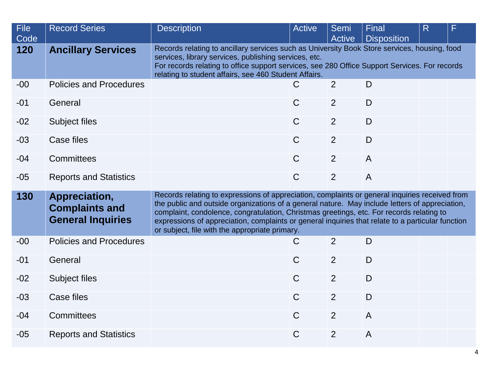| <b>File</b><br>Code | <b>Record Series</b>                                               | <b>Description</b>                                                                                                                                                                                                                                                                                                                                                                                                                                  | <b>Active</b>                                                                                                                                                                                                                                                                                                   | Semi<br><b>Active</b> | Final<br><b>Disposition</b> | R |  |  |  |
|---------------------|--------------------------------------------------------------------|-----------------------------------------------------------------------------------------------------------------------------------------------------------------------------------------------------------------------------------------------------------------------------------------------------------------------------------------------------------------------------------------------------------------------------------------------------|-----------------------------------------------------------------------------------------------------------------------------------------------------------------------------------------------------------------------------------------------------------------------------------------------------------------|-----------------------|-----------------------------|---|--|--|--|
| 120                 | <b>Ancillary Services</b>                                          |                                                                                                                                                                                                                                                                                                                                                                                                                                                     | Records relating to ancillary services such as University Book Store services, housing, food<br>services, library services, publishing services, etc.<br>For records relating to office support services, see 280 Office Support Services. For records<br>relating to student affairs, see 460 Student Affairs. |                       |                             |   |  |  |  |
| $-00$               | <b>Policies and Procedures</b>                                     |                                                                                                                                                                                                                                                                                                                                                                                                                                                     | $\mathsf{C}$                                                                                                                                                                                                                                                                                                    | 2                     | D                           |   |  |  |  |
| $-01$               | General                                                            |                                                                                                                                                                                                                                                                                                                                                                                                                                                     | $\mathsf{C}$                                                                                                                                                                                                                                                                                                    | 2                     | D                           |   |  |  |  |
| $-02$               | <b>Subject files</b>                                               |                                                                                                                                                                                                                                                                                                                                                                                                                                                     | $\mathsf{C}$                                                                                                                                                                                                                                                                                                    | 2                     | D                           |   |  |  |  |
| $-03$               | Case files                                                         |                                                                                                                                                                                                                                                                                                                                                                                                                                                     | $\mathsf{C}$                                                                                                                                                                                                                                                                                                    | 2                     | D                           |   |  |  |  |
| $-04$               | <b>Committees</b>                                                  |                                                                                                                                                                                                                                                                                                                                                                                                                                                     | $\mathsf{C}$                                                                                                                                                                                                                                                                                                    | 2                     | $\overline{A}$              |   |  |  |  |
| $-05$               | <b>Reports and Statistics</b>                                      |                                                                                                                                                                                                                                                                                                                                                                                                                                                     | $\mathsf{C}$                                                                                                                                                                                                                                                                                                    | 2                     | $\overline{A}$              |   |  |  |  |
| 130                 | Appreciation,<br><b>Complaints and</b><br><b>General Inquiries</b> | Records relating to expressions of appreciation, complaints or general inquiries received from<br>the public and outside organizations of a general nature. May include letters of appreciation,<br>complaint, condolence, congratulation, Christmas greetings, etc. For records relating to<br>expressions of appreciation, complaints or general inquiries that relate to a particular function<br>or subject, file with the appropriate primary. |                                                                                                                                                                                                                                                                                                                 |                       |                             |   |  |  |  |
| $-00$               | <b>Policies and Procedures</b>                                     |                                                                                                                                                                                                                                                                                                                                                                                                                                                     | C                                                                                                                                                                                                                                                                                                               | 2                     | D                           |   |  |  |  |
| $-01$               | General                                                            |                                                                                                                                                                                                                                                                                                                                                                                                                                                     | $\mathsf{C}$                                                                                                                                                                                                                                                                                                    | 2                     | D                           |   |  |  |  |
| $-02$               | Subject files                                                      |                                                                                                                                                                                                                                                                                                                                                                                                                                                     | $\mathsf{C}$                                                                                                                                                                                                                                                                                                    | 2                     | D                           |   |  |  |  |
| $-03$               | <b>Case files</b>                                                  |                                                                                                                                                                                                                                                                                                                                                                                                                                                     | $\mathsf{C}$                                                                                                                                                                                                                                                                                                    | 2                     | D                           |   |  |  |  |
| $-04$               | <b>Committees</b>                                                  |                                                                                                                                                                                                                                                                                                                                                                                                                                                     | $\mathsf{C}$                                                                                                                                                                                                                                                                                                    | 2                     | $\overline{A}$              |   |  |  |  |
| $-05$               | <b>Reports and Statistics</b>                                      |                                                                                                                                                                                                                                                                                                                                                                                                                                                     | $\mathsf{C}$                                                                                                                                                                                                                                                                                                    | 2                     | $\overline{A}$              |   |  |  |  |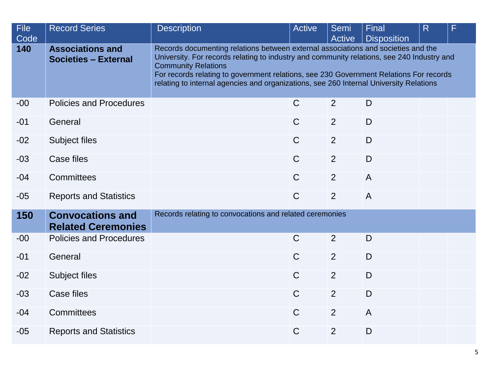| <b>File</b><br>Code | <b>Record Series</b>                                   | <b>Description</b>                                                                                                                                                                                                                                                                                                                                                                                | <b>Active</b> | Semi<br><b>Active</b> | Final<br><b>Disposition</b> | R | F |  |
|---------------------|--------------------------------------------------------|---------------------------------------------------------------------------------------------------------------------------------------------------------------------------------------------------------------------------------------------------------------------------------------------------------------------------------------------------------------------------------------------------|---------------|-----------------------|-----------------------------|---|---|--|
| 140                 | <b>Associations and</b><br><b>Societies - External</b> | Records documenting relations between external associations and societies and the<br>University. For records relating to industry and community relations, see 240 Industry and<br><b>Community Relations</b><br>For records relating to government relations, see 230 Government Relations For records<br>relating to internal agencies and organizations, see 260 Internal University Relations |               |                       |                             |   |   |  |
| $-00$               | <b>Policies and Procedures</b>                         |                                                                                                                                                                                                                                                                                                                                                                                                   | $\mathsf{C}$  | $\overline{2}$        | D                           |   |   |  |
| $-01$               | General                                                |                                                                                                                                                                                                                                                                                                                                                                                                   | $\mathsf{C}$  | $\overline{2}$        | D                           |   |   |  |
| $-02$               | Subject files                                          |                                                                                                                                                                                                                                                                                                                                                                                                   | $\mathsf{C}$  | $\overline{2}$        | D                           |   |   |  |
| $-03$               | Case files                                             |                                                                                                                                                                                                                                                                                                                                                                                                   | $\mathsf{C}$  | $\overline{2}$        | D                           |   |   |  |
| $-04$               | <b>Committees</b>                                      |                                                                                                                                                                                                                                                                                                                                                                                                   | $\mathsf{C}$  | $\overline{2}$        | $\overline{A}$              |   |   |  |
| $-05$               | <b>Reports and Statistics</b>                          |                                                                                                                                                                                                                                                                                                                                                                                                   | $\mathsf{C}$  | $\overline{2}$        | $\overline{A}$              |   |   |  |
| 150                 | <b>Convocations and</b><br><b>Related Ceremonies</b>   | Records relating to convocations and related ceremonies                                                                                                                                                                                                                                                                                                                                           |               |                       |                             |   |   |  |
| $-00$               | <b>Policies and Procedures</b>                         |                                                                                                                                                                                                                                                                                                                                                                                                   | $\mathsf{C}$  | 2                     | D                           |   |   |  |
| $-01$               | General                                                |                                                                                                                                                                                                                                                                                                                                                                                                   | $\mathsf{C}$  | 2                     | D                           |   |   |  |
| $-02$               | Subject files                                          |                                                                                                                                                                                                                                                                                                                                                                                                   | $\mathsf C$   | 2                     | D                           |   |   |  |
| $-03$               | <b>Case files</b>                                      |                                                                                                                                                                                                                                                                                                                                                                                                   | $\mathsf{C}$  | $\overline{2}$        | D                           |   |   |  |
| $-04$               | Committees                                             |                                                                                                                                                                                                                                                                                                                                                                                                   | $\mathsf{C}$  | $\overline{2}$        | $\overline{A}$              |   |   |  |
| $-05$               | <b>Reports and Statistics</b>                          |                                                                                                                                                                                                                                                                                                                                                                                                   | $\mathsf{C}$  | $\overline{2}$        | D                           |   |   |  |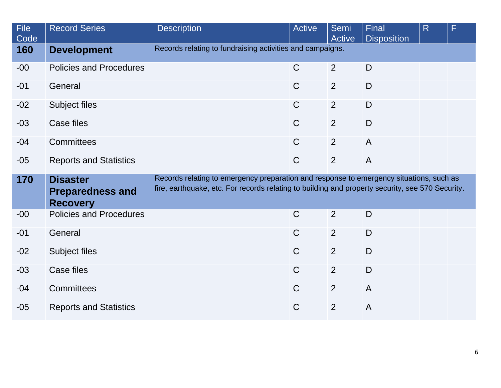| <b>File</b><br>Code | <b>Record Series</b>                                          | <b>Description</b>                                                                                                                                                                          | <b>Active</b> | <b>Semi</b><br>Active | Final<br><b>Disposition</b> | R | F |
|---------------------|---------------------------------------------------------------|---------------------------------------------------------------------------------------------------------------------------------------------------------------------------------------------|---------------|-----------------------|-----------------------------|---|---|
| 160                 | <b>Development</b>                                            | Records relating to fundraising activities and campaigns.                                                                                                                                   |               |                       |                             |   |   |
| $-00$               | <b>Policies and Procedures</b>                                |                                                                                                                                                                                             | $\mathsf{C}$  | 2                     | D                           |   |   |
| $-01$               | General                                                       |                                                                                                                                                                                             | $\mathsf C$   | 2                     | $\mathsf{D}$                |   |   |
| $-02$               | Subject files                                                 |                                                                                                                                                                                             | $\mathsf{C}$  | 2                     | D                           |   |   |
| $-03$               | Case files                                                    |                                                                                                                                                                                             | $\mathsf{C}$  | 2                     | D                           |   |   |
| $-04$               | <b>Committees</b>                                             |                                                                                                                                                                                             | $\mathsf C$   | $\overline{2}$        | $\overline{A}$              |   |   |
| $-05$               | <b>Reports and Statistics</b>                                 |                                                                                                                                                                                             | $\mathsf{C}$  | $\overline{2}$        | $\overline{A}$              |   |   |
| 170                 | <b>Disaster</b><br><b>Preparedness and</b><br><b>Recovery</b> | Records relating to emergency preparation and response to emergency situations, such as<br>fire, earthquake, etc. For records relating to building and property security, see 570 Security. |               |                       |                             |   |   |
| $-00$               | <b>Policies and Procedures</b>                                |                                                                                                                                                                                             | $\mathsf{C}$  | 2                     | D                           |   |   |
| $-01$               | General                                                       |                                                                                                                                                                                             | $\mathsf{C}$  | 2                     | D                           |   |   |
| $-02$               | Subject files                                                 |                                                                                                                                                                                             | $\mathsf{C}$  | 2                     | D                           |   |   |
| $-03$               | Case files                                                    |                                                                                                                                                                                             | $\mathsf{C}$  | 2                     | D                           |   |   |
| $-04$               | Committees                                                    |                                                                                                                                                                                             | $\mathsf{C}$  | 2                     | $\overline{A}$              |   |   |
| $-05$               | <b>Reports and Statistics</b>                                 |                                                                                                                                                                                             | $\mathsf C$   | $\overline{2}$        | $\mathsf{A}$                |   |   |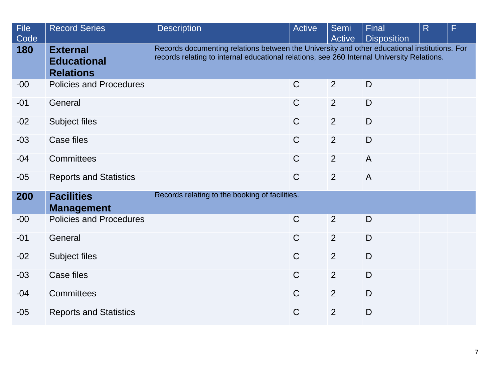| <b>File</b><br>Code | <b>Record Series</b>                                      | <b>Description</b>                                                                                                                                                                         | <b>Active</b> | Semi<br>Active | Final<br><b>Disposition</b> | $\overline{\mathsf{R}}$ | F |  |
|---------------------|-----------------------------------------------------------|--------------------------------------------------------------------------------------------------------------------------------------------------------------------------------------------|---------------|----------------|-----------------------------|-------------------------|---|--|
| 180                 | <b>External</b><br><b>Educational</b><br><b>Relations</b> | Records documenting relations between the University and other educational institutions. For<br>records relating to internal educational relations, see 260 Internal University Relations. |               |                |                             |                         |   |  |
| $-00$               | <b>Policies and Procedures</b>                            |                                                                                                                                                                                            | $\mathsf{C}$  | 2              | D                           |                         |   |  |
| $-01$               | General                                                   |                                                                                                                                                                                            | $\mathsf C$   | $\overline{2}$ | $\mathsf{D}$                |                         |   |  |
| $-02$               | Subject files                                             |                                                                                                                                                                                            | $\mathsf{C}$  | 2              | $\mathsf{D}$                |                         |   |  |
| $-03$               | <b>Case files</b>                                         |                                                                                                                                                                                            | $\mathsf{C}$  | 2              | D                           |                         |   |  |
| $-04$               | <b>Committees</b>                                         |                                                                                                                                                                                            | $\mathsf{C}$  | 2              | $\overline{A}$              |                         |   |  |
| $-05$               | <b>Reports and Statistics</b>                             |                                                                                                                                                                                            | $\mathsf{C}$  | 2              | $\overline{A}$              |                         |   |  |
| 200                 | <b>Facilities</b><br><b>Management</b>                    | Records relating to the booking of facilities.                                                                                                                                             |               |                |                             |                         |   |  |
| $-00$               | <b>Policies and Procedures</b>                            |                                                                                                                                                                                            | $\mathsf{C}$  | 2              | D                           |                         |   |  |
| $-01$               | General                                                   |                                                                                                                                                                                            | $\mathsf{C}$  | 2              | D                           |                         |   |  |
| $-02$               | Subject files                                             |                                                                                                                                                                                            | $\mathsf{C}$  | 2              | D                           |                         |   |  |
| $-03$               | Case files                                                |                                                                                                                                                                                            | $\mathsf{C}$  | 2              | D                           |                         |   |  |
| $-04$               | <b>Committees</b>                                         |                                                                                                                                                                                            | $\mathsf{C}$  | 2              | D                           |                         |   |  |
| $-05$               | <b>Reports and Statistics</b>                             |                                                                                                                                                                                            | $\mathsf C$   | $\overline{2}$ | D                           |                         |   |  |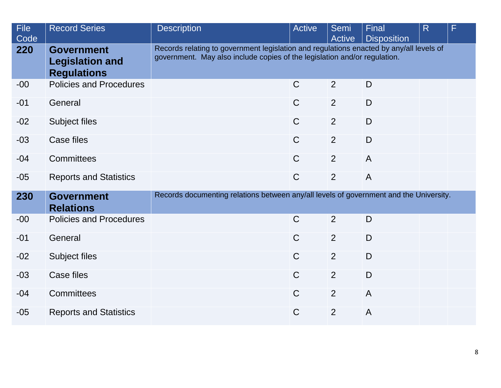| <b>File</b><br>Code | <b>Record Series</b>                                              | <b>Description</b>                                                                     | Active                                                                                                                                                               | Semi<br>Active | Final<br><b>Disposition</b> | R | F |  |
|---------------------|-------------------------------------------------------------------|----------------------------------------------------------------------------------------|----------------------------------------------------------------------------------------------------------------------------------------------------------------------|----------------|-----------------------------|---|---|--|
| 220                 | <b>Government</b><br><b>Legislation and</b><br><b>Regulations</b> |                                                                                        | Records relating to government legislation and regulations enacted by any/all levels of<br>government. May also include copies of the legislation and/or regulation. |                |                             |   |   |  |
| $-00$               | <b>Policies and Procedures</b>                                    |                                                                                        | $\mathsf{C}$                                                                                                                                                         | 2              | D                           |   |   |  |
| $-01$               | General                                                           |                                                                                        | $\mathsf{C}$                                                                                                                                                         | 2              | D                           |   |   |  |
| $-02$               | Subject files                                                     |                                                                                        | $\mathsf{C}$                                                                                                                                                         | 2              | D                           |   |   |  |
| $-03$               | Case files                                                        |                                                                                        | $\mathsf{C}$                                                                                                                                                         | 2              | D                           |   |   |  |
| $-04$               | <b>Committees</b>                                                 |                                                                                        | $\mathsf{C}$                                                                                                                                                         | 2              | $\overline{A}$              |   |   |  |
| $-05$               | <b>Reports and Statistics</b>                                     |                                                                                        | $\mathsf{C}$                                                                                                                                                         | 2              | $\overline{A}$              |   |   |  |
| 230                 | <b>Government</b><br><b>Relations</b>                             | Records documenting relations between any/all levels of government and the University. |                                                                                                                                                                      |                |                             |   |   |  |
| $-00$               | <b>Policies and Procedures</b>                                    |                                                                                        | $\mathsf{C}$                                                                                                                                                         | 2              | D                           |   |   |  |
| $-01$               | General                                                           |                                                                                        | $\mathsf{C}$                                                                                                                                                         | 2              | D                           |   |   |  |
| $-02$               | Subject files                                                     |                                                                                        | $\mathsf{C}$                                                                                                                                                         | 2              | D                           |   |   |  |
| $-03$               | Case files                                                        |                                                                                        | $\mathsf{C}$                                                                                                                                                         | 2              | $\mathsf{D}$                |   |   |  |
| $-04$               | <b>Committees</b>                                                 |                                                                                        | $\mathsf{C}$                                                                                                                                                         | 2              | $\overline{A}$              |   |   |  |
| $-05$               | <b>Reports and Statistics</b>                                     |                                                                                        | $\mathsf{C}$                                                                                                                                                         | 2              | $\overline{A}$              |   |   |  |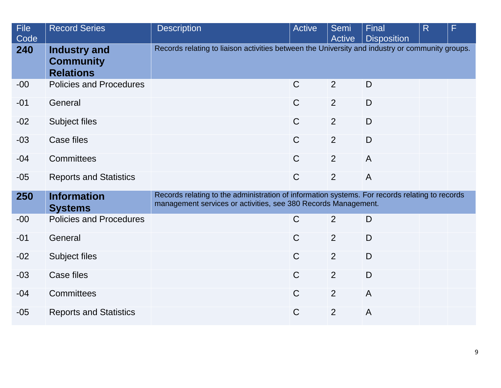| <b>File</b><br>Code | <b>Record Series</b>                                        | <b>Description</b>                                                                                                                                               | <b>Active</b> | Semi<br>Active | Final<br><b>Disposition</b> | R | F |
|---------------------|-------------------------------------------------------------|------------------------------------------------------------------------------------------------------------------------------------------------------------------|---------------|----------------|-----------------------------|---|---|
| 240                 | <b>Industry and</b><br><b>Community</b><br><b>Relations</b> | Records relating to liaison activities between the University and industry or community groups.                                                                  |               |                |                             |   |   |
| $-00$               | <b>Policies and Procedures</b>                              |                                                                                                                                                                  | $\mathsf{C}$  | 2              | D                           |   |   |
| $-01$               | General                                                     |                                                                                                                                                                  | $\mathsf{C}$  | 2              | D                           |   |   |
| $-02$               | Subject files                                               |                                                                                                                                                                  | $\mathsf{C}$  | 2              | $\mathsf{D}$                |   |   |
| $-03$               | Case files                                                  |                                                                                                                                                                  | $\mathsf{C}$  | 2              | D                           |   |   |
| $-04$               | Committees                                                  |                                                                                                                                                                  | $\mathsf{C}$  | 2              | $\overline{A}$              |   |   |
| $-05$               | <b>Reports and Statistics</b>                               |                                                                                                                                                                  | $\mathsf{C}$  | 2              | $\overline{A}$              |   |   |
| 250                 | <b>Information</b><br><b>Systems</b>                        | Records relating to the administration of information systems. For records relating to records<br>management services or activities, see 380 Records Management. |               |                |                             |   |   |
| $-00$               | <b>Policies and Procedures</b>                              |                                                                                                                                                                  | $\mathsf{C}$  | 2              | D                           |   |   |
| $-01$               | General                                                     |                                                                                                                                                                  | $\mathsf{C}$  | 2              | D                           |   |   |
| $-02$               | Subject files                                               |                                                                                                                                                                  | $\mathsf{C}$  | 2              | D                           |   |   |
| $-03$               | Case files                                                  |                                                                                                                                                                  | $\mathsf{C}$  | 2              | D                           |   |   |
| $-04$               | <b>Committees</b>                                           |                                                                                                                                                                  | $\mathsf{C}$  | 2              | $\mathsf{A}$                |   |   |
| $-05$               | <b>Reports and Statistics</b>                               |                                                                                                                                                                  | $\mathsf C$   | 2              | $\overline{A}$              |   |   |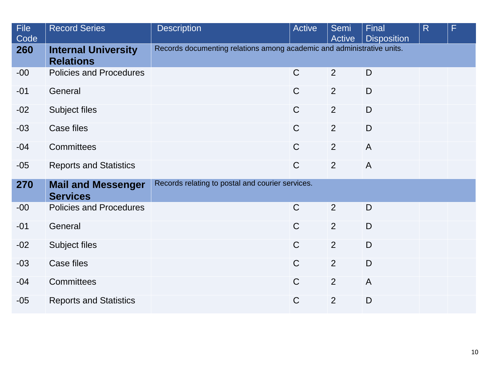| <b>File</b><br>Code | <b>Record Series</b>                           | <b>Description</b>                                                     | <b>Active</b> | Semi<br><b>Active</b> | Final<br><b>Disposition</b> | R | F |
|---------------------|------------------------------------------------|------------------------------------------------------------------------|---------------|-----------------------|-----------------------------|---|---|
| 260                 | <b>Internal University</b><br><b>Relations</b> | Records documenting relations among academic and administrative units. |               |                       |                             |   |   |
| $-00$               | <b>Policies and Procedures</b>                 |                                                                        | $\mathsf{C}$  | 2                     | D                           |   |   |
| $-01$               | General                                        |                                                                        | $\mathsf{C}$  | 2                     | D                           |   |   |
| $-02$               | Subject files                                  |                                                                        | $\mathsf C$   | 2                     | D                           |   |   |
| $-03$               | Case files                                     |                                                                        | $\mathsf{C}$  | 2                     | D                           |   |   |
| $-04$               | Committees                                     |                                                                        | $\mathsf{C}$  | $\overline{2}$        | $\overline{A}$              |   |   |
| $-05$               | <b>Reports and Statistics</b>                  |                                                                        | $\mathsf{C}$  | 2                     | $\overline{A}$              |   |   |
| 270                 | <b>Mail and Messenger</b><br><b>Services</b>   | Records relating to postal and courier services.                       |               |                       |                             |   |   |
| $-00$               | <b>Policies and Procedures</b>                 |                                                                        | $\mathsf{C}$  | 2                     | D                           |   |   |
| $-01$               | General                                        |                                                                        | $\mathsf{C}$  | 2                     | D                           |   |   |
| $-02$               | Subject files                                  |                                                                        | $\mathsf{C}$  | 2                     | D                           |   |   |
| $-03$               | Case files                                     |                                                                        | $\mathsf{C}$  | 2                     | D                           |   |   |
| $-04$               | Committees                                     |                                                                        | $\mathsf{C}$  | 2                     | $\overline{A}$              |   |   |
| $-05$               | <b>Reports and Statistics</b>                  |                                                                        | $\mathsf C$   | $\overline{2}$        | $\mathsf D$                 |   |   |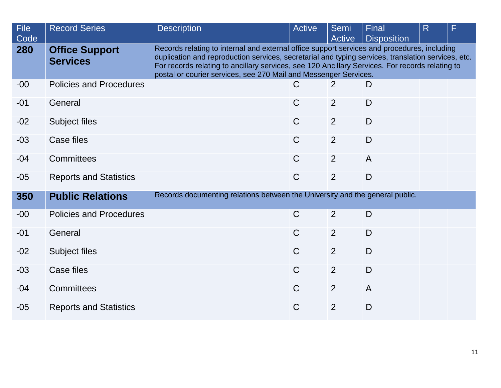| <b>File</b><br>Code | <b>Record Series</b>                     | <b>Description</b>                                                           | Active                                                                                                                                                                                                                                                                                                                                                                   | Semi<br><b>Active</b> | Final<br><b>Disposition</b> | R | F |  |  |  |
|---------------------|------------------------------------------|------------------------------------------------------------------------------|--------------------------------------------------------------------------------------------------------------------------------------------------------------------------------------------------------------------------------------------------------------------------------------------------------------------------------------------------------------------------|-----------------------|-----------------------------|---|---|--|--|--|
| 280                 | <b>Office Support</b><br><b>Services</b> |                                                                              | Records relating to internal and external office support services and procedures, including<br>duplication and reproduction services, secretarial and typing services, translation services, etc.<br>For records relating to ancillary services, see 120 Ancillary Services. For records relating to<br>postal or courier services, see 270 Mail and Messenger Services. |                       |                             |   |   |  |  |  |
| $-00$               | <b>Policies and Procedures</b>           |                                                                              | $\mathsf{C}$                                                                                                                                                                                                                                                                                                                                                             | 2                     | D                           |   |   |  |  |  |
| $-01$               | General                                  |                                                                              | $\mathsf{C}$                                                                                                                                                                                                                                                                                                                                                             | 2                     | D                           |   |   |  |  |  |
| $-02$               | Subject files                            |                                                                              | $\mathsf{C}$                                                                                                                                                                                                                                                                                                                                                             | 2                     | D                           |   |   |  |  |  |
| $-03$               | Case files                               |                                                                              | $\mathsf{C}$                                                                                                                                                                                                                                                                                                                                                             | 2                     | D                           |   |   |  |  |  |
| $-04$               | <b>Committees</b>                        |                                                                              | $\mathsf{C}$                                                                                                                                                                                                                                                                                                                                                             | 2                     | $\overline{A}$              |   |   |  |  |  |
| $-05$               | <b>Reports and Statistics</b>            |                                                                              | $\mathsf{C}$                                                                                                                                                                                                                                                                                                                                                             | 2                     | D                           |   |   |  |  |  |
| 350                 | <b>Public Relations</b>                  | Records documenting relations between the University and the general public. |                                                                                                                                                                                                                                                                                                                                                                          |                       |                             |   |   |  |  |  |
| $-00$               | <b>Policies and Procedures</b>           |                                                                              | $\mathsf{C}$                                                                                                                                                                                                                                                                                                                                                             | 2                     | D                           |   |   |  |  |  |
| $-01$               | General                                  |                                                                              | $\mathsf{C}$                                                                                                                                                                                                                                                                                                                                                             | 2                     | D                           |   |   |  |  |  |
| $-02$               | Subject files                            |                                                                              | $\mathsf{C}$                                                                                                                                                                                                                                                                                                                                                             | 2                     | D                           |   |   |  |  |  |
| $-03$               | Case files                               |                                                                              | $\mathsf{C}$                                                                                                                                                                                                                                                                                                                                                             | 2                     | D                           |   |   |  |  |  |
| $-04$               | Committees                               |                                                                              | $\mathsf{C}$                                                                                                                                                                                                                                                                                                                                                             | 2                     | $\overline{A}$              |   |   |  |  |  |
| $-05$               | <b>Reports and Statistics</b>            |                                                                              | $\mathsf{C}$                                                                                                                                                                                                                                                                                                                                                             | $\overline{2}$        | D                           |   |   |  |  |  |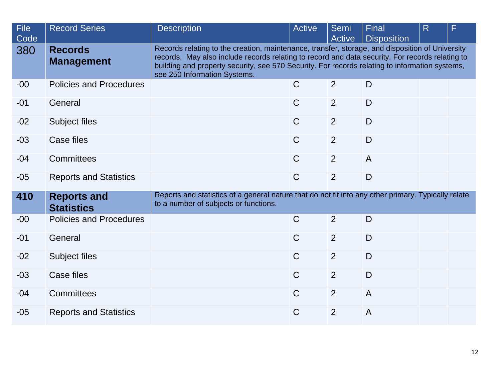| <b>File</b><br>Code | <b>Record Series</b>                    | <b>Description</b>                                                                                                                                                                                                                                                                                                                   | Active       | Semi<br><b>Active</b> | Final<br><b>Disposition</b> | R | F |  |
|---------------------|-----------------------------------------|--------------------------------------------------------------------------------------------------------------------------------------------------------------------------------------------------------------------------------------------------------------------------------------------------------------------------------------|--------------|-----------------------|-----------------------------|---|---|--|
| 380                 | <b>Records</b><br><b>Management</b>     | Records relating to the creation, maintenance, transfer, storage, and disposition of University<br>records. May also include records relating to record and data security. For records relating to<br>building and property security, see 570 Security. For records relating to information systems,<br>see 250 Information Systems. |              |                       |                             |   |   |  |
| $-00$               | <b>Policies and Procedures</b>          |                                                                                                                                                                                                                                                                                                                                      | $\mathsf{C}$ | 2                     | D                           |   |   |  |
| $-01$               | General                                 |                                                                                                                                                                                                                                                                                                                                      | $\mathsf{C}$ | 2                     | $\mathsf{D}$                |   |   |  |
| $-02$               | Subject files                           |                                                                                                                                                                                                                                                                                                                                      | $\mathsf{C}$ | 2                     | D                           |   |   |  |
| $-03$               | Case files                              |                                                                                                                                                                                                                                                                                                                                      | $\mathsf{C}$ | 2                     | D                           |   |   |  |
| $-04$               | Committees                              |                                                                                                                                                                                                                                                                                                                                      | $\mathsf{C}$ | 2                     | $\overline{A}$              |   |   |  |
| $-05$               | <b>Reports and Statistics</b>           |                                                                                                                                                                                                                                                                                                                                      | $\mathsf{C}$ | $\overline{2}$        | D                           |   |   |  |
| 410                 | <b>Reports and</b><br><b>Statistics</b> | Reports and statistics of a general nature that do not fit into any other primary. Typically relate<br>to a number of subjects or functions.                                                                                                                                                                                         |              |                       |                             |   |   |  |
| $-00$               | <b>Policies and Procedures</b>          |                                                                                                                                                                                                                                                                                                                                      | $\mathsf{C}$ | 2                     | D                           |   |   |  |
| $-01$               | General                                 |                                                                                                                                                                                                                                                                                                                                      | $\mathsf{C}$ | 2                     | D                           |   |   |  |
| $-02$               | Subject files                           |                                                                                                                                                                                                                                                                                                                                      | $\mathsf{C}$ | 2                     | $\mathsf{D}$                |   |   |  |
| $-03$               | Case files                              |                                                                                                                                                                                                                                                                                                                                      | $\mathsf{C}$ | 2                     | D                           |   |   |  |
| $-04$               | <b>Committees</b>                       |                                                                                                                                                                                                                                                                                                                                      | $\mathsf{C}$ | 2                     | $\overline{A}$              |   |   |  |
| $-05$               | <b>Reports and Statistics</b>           |                                                                                                                                                                                                                                                                                                                                      | $\mathsf{C}$ | 2                     | $\overline{A}$              |   |   |  |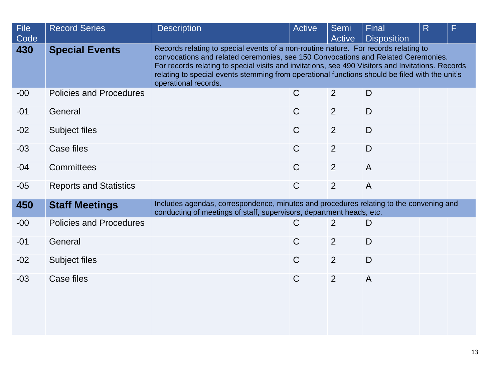| <b>File</b><br>Code | <b>Record Series</b>           | <b>Description</b>                                                                                                                                             | Active                                                                                                                                                                                                                                                                                                                                                                          | Semi<br>Active | <b>Final</b><br><b>Disposition</b> | R | F |  |  |
|---------------------|--------------------------------|----------------------------------------------------------------------------------------------------------------------------------------------------------------|---------------------------------------------------------------------------------------------------------------------------------------------------------------------------------------------------------------------------------------------------------------------------------------------------------------------------------------------------------------------------------|----------------|------------------------------------|---|---|--|--|
| 430                 | <b>Special Events</b>          | operational records.                                                                                                                                           | Records relating to special events of a non-routine nature. For records relating to<br>convocations and related ceremonies, see 150 Convocations and Related Ceremonies.<br>For records relating to special visits and invitations, see 490 Visitors and Invitations. Records<br>relating to special events stemming from operational functions should be filed with the unit's |                |                                    |   |   |  |  |
| $-00$               | <b>Policies and Procedures</b> |                                                                                                                                                                | $\mathsf{C}$                                                                                                                                                                                                                                                                                                                                                                    | 2              | D                                  |   |   |  |  |
| $-01$               | General                        |                                                                                                                                                                | $\mathsf{C}$                                                                                                                                                                                                                                                                                                                                                                    | 2              | D                                  |   |   |  |  |
| $-02$               | Subject files                  |                                                                                                                                                                | $\mathsf{C}$                                                                                                                                                                                                                                                                                                                                                                    | 2              | D                                  |   |   |  |  |
| $-03$               | Case files                     |                                                                                                                                                                | $\mathsf{C}$                                                                                                                                                                                                                                                                                                                                                                    | 2              | D                                  |   |   |  |  |
| $-04$               | <b>Committees</b>              |                                                                                                                                                                | $\mathsf{C}$                                                                                                                                                                                                                                                                                                                                                                    | 2              | $\overline{A}$                     |   |   |  |  |
| $-05$               | <b>Reports and Statistics</b>  |                                                                                                                                                                | $\mathsf{C}$                                                                                                                                                                                                                                                                                                                                                                    | $\overline{2}$ | $\overline{A}$                     |   |   |  |  |
| 450                 | <b>Staff Meetings</b>          | Includes agendas, correspondence, minutes and procedures relating to the convening and<br>conducting of meetings of staff, supervisors, department heads, etc. |                                                                                                                                                                                                                                                                                                                                                                                 |                |                                    |   |   |  |  |
| $-00$               | <b>Policies and Procedures</b> |                                                                                                                                                                | $\mathsf C$                                                                                                                                                                                                                                                                                                                                                                     | 2              | D                                  |   |   |  |  |
| $-01$               | General                        |                                                                                                                                                                | $\mathsf{C}$                                                                                                                                                                                                                                                                                                                                                                    | 2              | D                                  |   |   |  |  |
| $-02$               | Subject files                  |                                                                                                                                                                | $\mathsf{C}$                                                                                                                                                                                                                                                                                                                                                                    | 2              | D                                  |   |   |  |  |
| $-03$               | <b>Case files</b>              |                                                                                                                                                                | $\mathsf C$                                                                                                                                                                                                                                                                                                                                                                     | $\overline{2}$ | $\overline{A}$                     |   |   |  |  |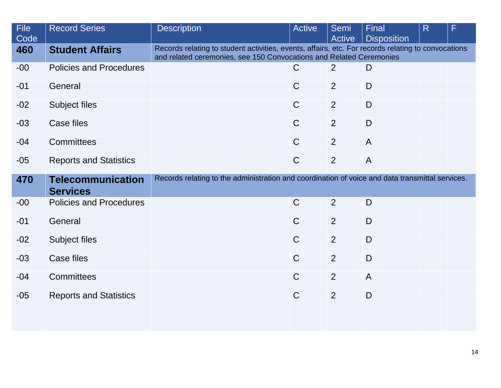| <b>File</b><br>Code | <b>Record Series</b>                        | <b>Description</b>                                                                                                                                                        | <b>Active</b> | <b>Semi</b><br>Active | <b>Final</b><br><b>Disposition</b> | R | F |
|---------------------|---------------------------------------------|---------------------------------------------------------------------------------------------------------------------------------------------------------------------------|---------------|-----------------------|------------------------------------|---|---|
| 460                 | <b>Student Affairs</b>                      | Records relating to student activities, events, affairs, etc. For records relating to convocations<br>and related ceremonies, see 150 Convocations and Related Ceremonies |               |                       |                                    |   |   |
| $-00$               | <b>Policies and Procedures</b>              |                                                                                                                                                                           | C             | 2                     | D                                  |   |   |
| $-01$               | General                                     |                                                                                                                                                                           | $\mathsf C$   | 2                     | D                                  |   |   |
| $-02$               | Subject files                               |                                                                                                                                                                           | $\mathsf{C}$  | 2                     | D                                  |   |   |
| $-03$               | Case files                                  |                                                                                                                                                                           | $\mathsf{C}$  | 2                     | D                                  |   |   |
| $-04$               | Committees                                  |                                                                                                                                                                           | $\mathsf{C}$  | $\overline{2}$        | $\overline{A}$                     |   |   |
| $-05$               | <b>Reports and Statistics</b>               |                                                                                                                                                                           | $\mathsf{C}$  | 2                     | $\overline{A}$                     |   |   |
| 470                 | <b>Telecommunication</b><br><b>Services</b> | Records relating to the administration and coordination of voice and data transmittal services.                                                                           |               |                       |                                    |   |   |
| $-00$               | <b>Policies and Procedures</b>              |                                                                                                                                                                           | $\mathsf C$   | 2                     | D                                  |   |   |
| $-01$               | General                                     |                                                                                                                                                                           | $\mathsf{C}$  | 2                     | D                                  |   |   |
| $-02$               | Subject files                               |                                                                                                                                                                           | $\mathsf{C}$  | 2                     | D                                  |   |   |
| $-03$               | Case files                                  |                                                                                                                                                                           | $\mathsf{C}$  | 2                     | D                                  |   |   |
| $-04$               | Committees                                  |                                                                                                                                                                           | $\mathsf{C}$  | 2                     | $\overline{A}$                     |   |   |
| $-05$               | <b>Reports and Statistics</b>               |                                                                                                                                                                           | $\mathsf{C}$  | 2                     | D                                  |   |   |